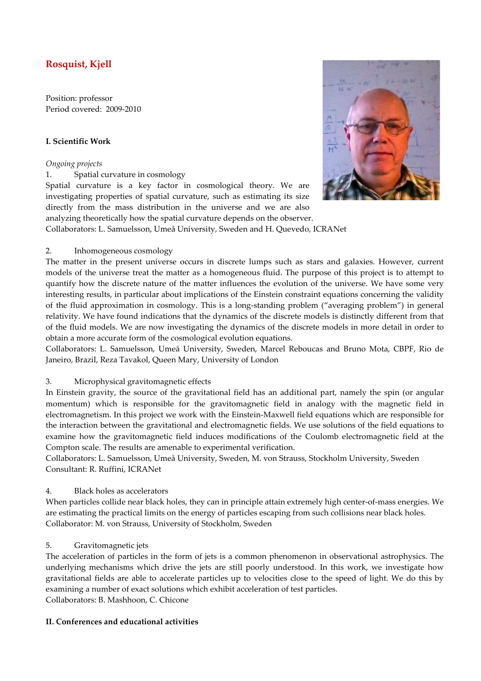# **Rosquist, Kjell**

Position: professor Period covered: 2009-2010

# **I. Scientific Work**

# *Ongoing projects*

1. Spatial curvature in cosmology

Spatial curvature is a key factor in cosmological theory. We are investigating properties of spatial curvature, such as estimating its size directly from the mass distribution in the universe and we are also analyzing theoretically how the spatial curvature depends on the observer.



Collaborators: L. Samuelsson, Umeå University, Sweden and H. Quevedo, ICRANet

#### 2. Inhomogeneous cosmology

The matter in the present universe occurs in discrete lumps such as stars and galaxies. However, current models of the universe treat the matter as a homogeneous fluid. The purpose of this project is to attempt to quantify how the discrete nature of the matter influences the evolution of the universe. We have some very interesting results, in particular about implications of the Einstein constraint equations concerning the validity of the fluid approximation in cosmology. This is a long-standing problem ("averaging problem") in general relativity. We have found indications that the dynamics of the discrete models is distinctly different from that of the fluid models. We are now investigating the dynamics of the discrete models in more detail in order to obtain a more accurate form of the cosmological evolution equations.

Collaborators: L. Samuelsson, Umeå University, Sweden, Marcel Reboucas and Bruno Mota, CBPF, Rio de Janeiro, Brazil, Reza Tavakol, Queen Mary, University of London

#### 3. Microphysical gravitomagnetic effects

In Einstein gravity, the source of the gravitational field has an additional part, namely the spin (or angular momentum) which is responsible for the gravitomagnetic field in analogy with the magnetic field in electromagnetism. In this project we work with the Einstein-Maxwell field equations which are responsible for the interaction between the gravitational and electromagnetic fields. We use solutions of the field equations to examine how the gravitomagnetic field induces modifications of the Coulomb electromagnetic field at the Compton scale. The results are amenable to experimental verification.

Collaborators: L. Samuelsson, Umeå University, Sweden, M. von Strauss, Stockholm University, Sweden Consultant: R. Ruffini, ICRANet

#### 4. Black holes as accelerators

When particles collide near black holes, they can in principle attain extremely high center-of-mass energies. We are estimating the practical limits on the energy of particles escaping from such collisions near black holes. Collaborator: M. von Strauss, University of Stockholm, Sweden

#### 5. Gravitomagnetic jets

The acceleration of particles in the form of jets is a common phenomenon in observational astrophysics. The underlying mechanisms which drive the jets are still poorly understood. In this work, we investigate how gravitational fields are able to accelerate particles up to velocities close to the speed of light. We do this by examining a number of exact solutions which exhibit acceleration of test particles. Collaborators: B. Mashhoon, C. Chicone

#### **II. Conferences and educational activities**